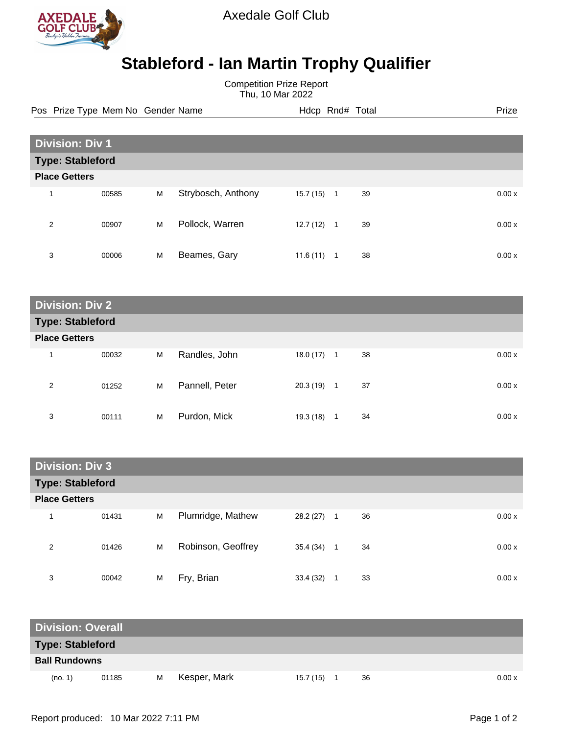

Axedale Golf Club

## **Stableford - Ian Martin Trophy Qualifier**

Competition Prize Report Thu, 10 Mar 2022

Pos Prize Type Mem No Gender Name **Heath Hotel And According Prize** Prize

| <b>Division: Div 1</b>  |       |   |                    |           |                |    |        |
|-------------------------|-------|---|--------------------|-----------|----------------|----|--------|
| <b>Type: Stableford</b> |       |   |                    |           |                |    |        |
| <b>Place Getters</b>    |       |   |                    |           |                |    |        |
| 4                       | 00585 | M | Strybosch, Anthony | 15.7 (15) | $\mathbf{1}$   | 39 | 0.00x  |
| 2                       | 00907 | M | Pollock, Warren    | 12.7 (12) | $\overline{1}$ | 39 | 0.00 x |
| 3                       | 00006 | M | Beames, Gary       | 11.6(11)  | 1              | 38 | 0.00x  |

| <b>Division: Div 2</b>  |       |   |                |           |         |       |  |  |  |
|-------------------------|-------|---|----------------|-----------|---------|-------|--|--|--|
| <b>Type: Stableford</b> |       |   |                |           |         |       |  |  |  |
| <b>Place Getters</b>    |       |   |                |           |         |       |  |  |  |
| и                       | 00032 | M | Randles, John  | 18.0 (17) | 38<br>1 | 0.00x |  |  |  |
| 2                       | 01252 | M | Pannell, Peter | 20.3 (19) | 37<br>1 | 0.00x |  |  |  |
| 3                       | 00111 | M | Purdon, Mick   | 19.3 (18) | 34<br>1 | 0.00x |  |  |  |

| <b>Division: Div 3</b>  |       |   |                    |           |                  |    |  |       |  |
|-------------------------|-------|---|--------------------|-----------|------------------|----|--|-------|--|
| <b>Type: Stableford</b> |       |   |                    |           |                  |    |  |       |  |
| <b>Place Getters</b>    |       |   |                    |           |                  |    |  |       |  |
| 1                       | 01431 | M | Plumridge, Mathew  | 28.2 (27) | $\blacksquare$ 1 | 36 |  | 0.00x |  |
| 2                       | 01426 | M | Robinson, Geoffrey | 35.4 (34) | -1               | 34 |  | 0.00x |  |
| 3                       | 00042 | M | Fry, Brian         | 33.4 (32) |                  | 33 |  | 0.00x |  |

| <b>Division: Overall</b> |       |   |              |           |    |        |
|--------------------------|-------|---|--------------|-----------|----|--------|
| <b>Type: Stableford</b>  |       |   |              |           |    |        |
| <b>Ball Rundowns</b>     |       |   |              |           |    |        |
| (no. 1)                  | 01185 | м | Kesper, Mark | 15.7 (15) | 36 | 0.00 x |